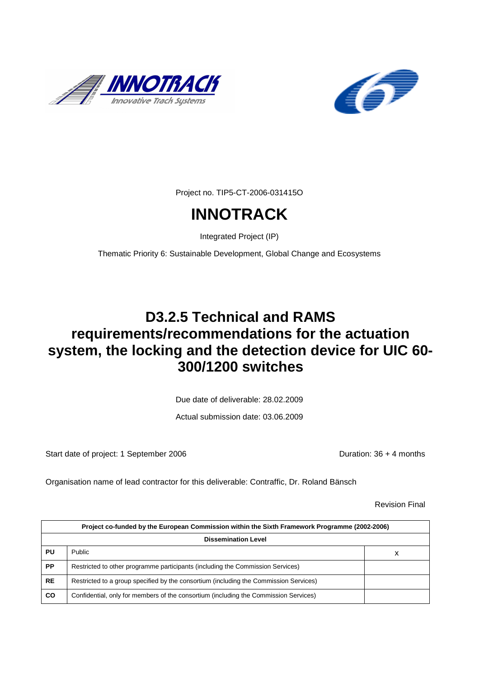



Project no. TIP5-CT-2006-031415O

# **INNOTRACK**

Integrated Project (IP)

Thematic Priority 6: Sustainable Development, Global Change and Ecosystems

## **D3.2.5 Technical and RAMS requirements/recommendations for the actuation system, the locking and the detection device for UIC 60- 300/1200 switches**

Due date of deliverable: 28.02.2009

Actual submission date: 03.06.2009

Start date of project: 1 September 2006 Duration: 36 + 4 months

Organisation name of lead contractor for this deliverable: Contraffic, Dr. Roland Bänsch

Revision Final

|           | Project co-funded by the European Commission within the Sixth Framework Programme (2002-2006) |  |  |
|-----------|-----------------------------------------------------------------------------------------------|--|--|
|           | <b>Dissemination Level</b>                                                                    |  |  |
| PU        | <b>Public</b><br>х                                                                            |  |  |
| <b>PP</b> | Restricted to other programme participants (including the Commission Services)                |  |  |
| <b>RE</b> | Restricted to a group specified by the consortium (including the Commission Services)         |  |  |
| CO        | Confidential, only for members of the consortium (including the Commission Services)          |  |  |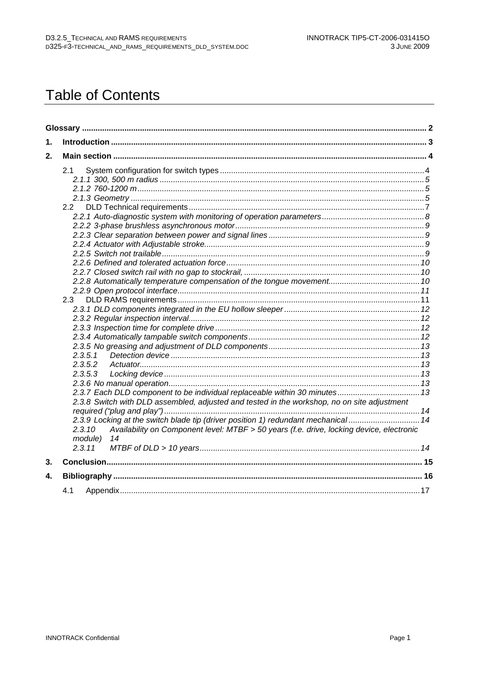# **Table of Contents**

| $\mathbf 1$ . |                                                                                                                     |  |
|---------------|---------------------------------------------------------------------------------------------------------------------|--|
| 2.            |                                                                                                                     |  |
|               | 2.1                                                                                                                 |  |
|               |                                                                                                                     |  |
|               |                                                                                                                     |  |
|               |                                                                                                                     |  |
|               | 2.2                                                                                                                 |  |
|               |                                                                                                                     |  |
|               |                                                                                                                     |  |
|               |                                                                                                                     |  |
|               |                                                                                                                     |  |
|               |                                                                                                                     |  |
|               |                                                                                                                     |  |
|               |                                                                                                                     |  |
|               |                                                                                                                     |  |
|               |                                                                                                                     |  |
|               | 2.3                                                                                                                 |  |
|               |                                                                                                                     |  |
|               |                                                                                                                     |  |
|               |                                                                                                                     |  |
|               |                                                                                                                     |  |
|               |                                                                                                                     |  |
|               | 2.3.5.1                                                                                                             |  |
|               | 2.3.5.2                                                                                                             |  |
|               | 2.3.5.3                                                                                                             |  |
|               |                                                                                                                     |  |
|               | 2.3.7 Each DLD component to be individual replaceable within 30 minutes 13                                          |  |
|               | 2.3.8 Switch with DLD assembled, adjusted and tested in the workshop, no on site adjustment                         |  |
|               |                                                                                                                     |  |
|               | 2.3.9 Locking at the switch blade tip (driver position 1) redundant mechanical  14                                  |  |
|               | Availability on Component level: MTBF > 50 years (f.e. drive, locking device, electronic<br>2.3.10<br>module)<br>14 |  |
|               | 2.3.11                                                                                                              |  |
| 3.            |                                                                                                                     |  |
| 4.            |                                                                                                                     |  |
|               | 4.1                                                                                                                 |  |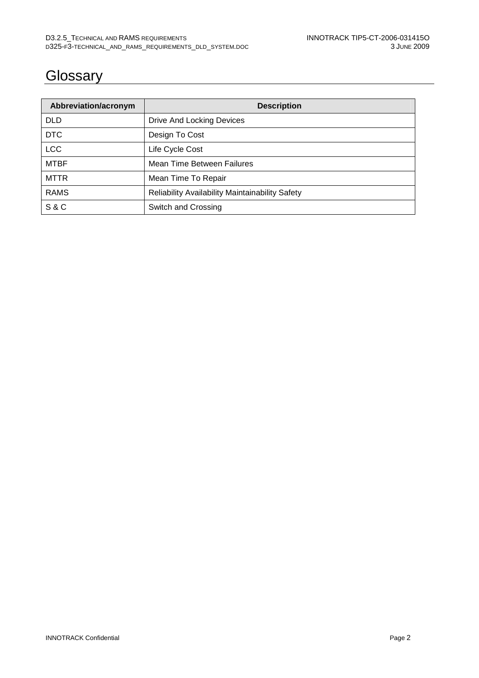## **Glossary**

| Abbreviation/acronym | <b>Description</b>                                     |  |
|----------------------|--------------------------------------------------------|--|
| <b>DLD</b>           | Drive And Locking Devices                              |  |
| <b>DTC</b>           | Design To Cost                                         |  |
| <b>LCC</b>           | Life Cycle Cost                                        |  |
| <b>MTBF</b>          | Mean Time Between Failures                             |  |
| <b>MTTR</b>          | Mean Time To Repair                                    |  |
| <b>RAMS</b>          | <b>Reliability Availability Maintainability Safety</b> |  |
| <b>S&amp;C</b>       | Switch and Crossing                                    |  |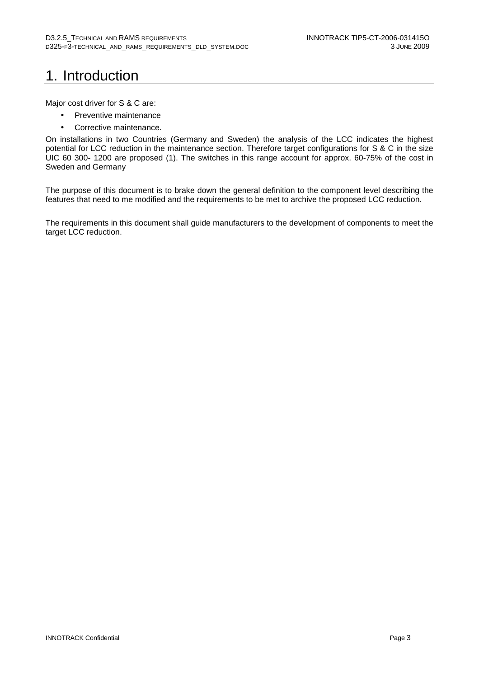# 1. Introduction

Major cost driver for S & C are:

- Preventive maintenance
- Corrective maintenance.

On installations in two Countries (Germany and Sweden) the analysis of the LCC indicates the highest potential for LCC reduction in the maintenance section. Therefore target configurations for S & C in the size UIC 60 300- 1200 are proposed (1). The switches in this range account for approx. 60-75% of the cost in Sweden and Germany

The purpose of this document is to brake down the general definition to the component level describing the features that need to me modified and the requirements to be met to archive the proposed LCC reduction.

The requirements in this document shall guide manufacturers to the development of components to meet the target LCC reduction.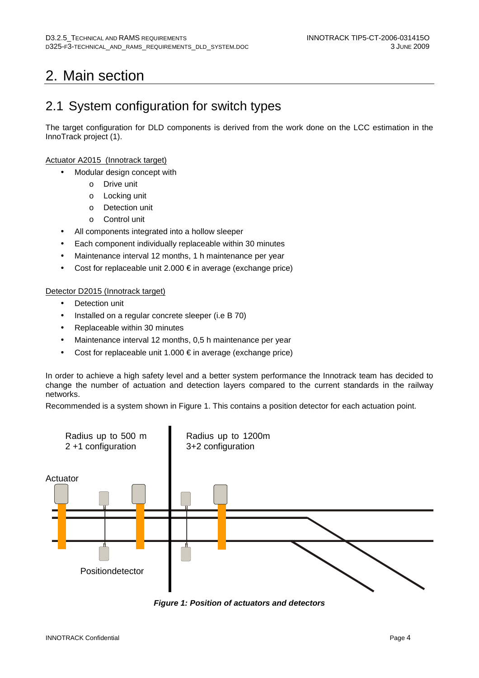# 2. Main section

## 2.1 System configuration for switch types

The target configuration for DLD components is derived from the work done on the LCC estimation in the InnoTrack project (1).

#### Actuator A2015 (Innotrack target)

- Modular design concept with
	- o Drive unit
	- o Locking unit
	- o Detection unit
	- o Control unit
- All components integrated into a hollow sleeper
- Each component individually replaceable within 30 minutes
- Maintenance interval 12 months, 1 h maintenance per year
- Cost for replaceable unit 2.000  $\epsilon$  in average (exchange price)

#### Detector D2015 (Innotrack target)

- Detection unit
- Installed on a regular concrete sleeper (i.e B 70)
- Replaceable within 30 minutes
- Maintenance interval 12 months, 0,5 h maintenance per year
- Cost for replaceable unit 1.000  $\epsilon$  in average (exchange price)

In order to achieve a high safety level and a better system performance the Innotrack team has decided to change the number of actuation and detection layers compared to the current standards in the railway networks.

Recommended is a system shown in Figure 1. This contains a position detector for each actuation point.



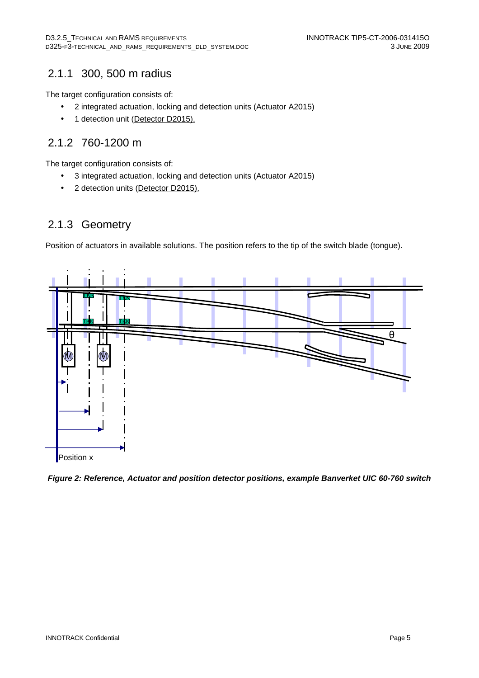### 2.1.1 300, 500 m radius

The target configuration consists of:

- 2 integrated actuation, locking and detection units (Actuator A2015)
- 1 detection unit (Detector D2015).

### 2.1.2 760-1200 m

The target configuration consists of:

- 3 integrated actuation, locking and detection units (Actuator A2015)
- 2 detection units (Detector D2015).

### 2.1.3 Geometry

Position of actuators in available solutions. The position refers to the tip of the switch blade (tongue).



**Figure 2: Reference, Actuator and position detector positions, example Banverket UIC 60-760 switch**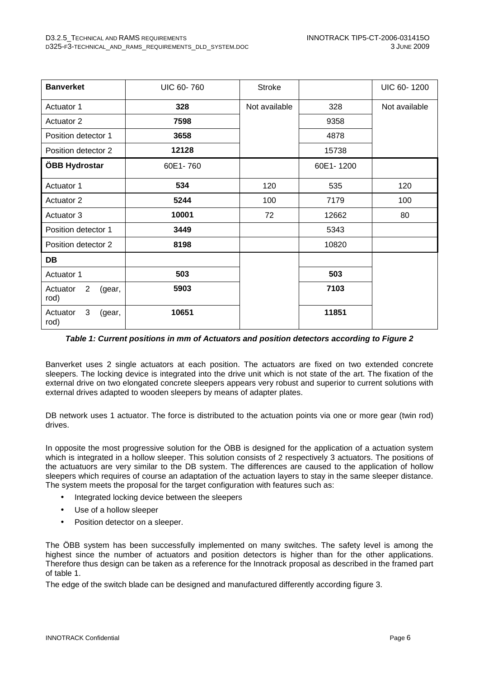| <b>Banverket</b>                             | <b>UIC 60-760</b> | <b>Stroke</b> |           | UIC 60-1200   |
|----------------------------------------------|-------------------|---------------|-----------|---------------|
| Actuator 1                                   | 328               | Not available | 328       | Not available |
| <b>Actuator 2</b>                            | 7598              |               | 9358      |               |
| Position detector 1                          | 3658              |               | 4878      |               |
| Position detector 2                          | 12128             |               | 15738     |               |
| ÖBB Hydrostar                                | 60E1-760          |               | 60E1-1200 |               |
| Actuator 1                                   | 534               | 120           | 535       | 120           |
| <b>Actuator 2</b>                            | 5244              | 100           | 7179      | 100           |
| Actuator 3                                   | 10001             | 72            | 12662     | 80            |
| Position detector 1                          | 3449              |               | 5343      |               |
| Position detector 2                          | 8198              |               | 10820     |               |
| <b>DB</b>                                    |                   |               |           |               |
| Actuator 1                                   | 503               |               | 503       |               |
| $\overline{2}$<br>Actuator<br>(gear,<br>rod) | 5903              |               | 7103      |               |
| Actuator<br>3<br>(gear,<br>rod)              | 10651             |               | 11851     |               |

#### **Table 1: Current positions in mm of Actuators and position detectors according to Figure 2**

Banverket uses 2 single actuators at each position. The actuators are fixed on two extended concrete sleepers. The locking device is integrated into the drive unit which is not state of the art. The fixation of the external drive on two elongated concrete sleepers appears very robust and superior to current solutions with external drives adapted to wooden sleepers by means of adapter plates.

DB network uses 1 actuator. The force is distributed to the actuation points via one or more gear (twin rod) drives.

In opposite the most progressive solution for the ÖBB is designed for the application of a actuation system which is integrated in a hollow sleeper. This solution consists of 2 respectively 3 actuators. The positions of the actuatuors are very similar to the DB system. The differences are caused to the application of hollow sleepers which requires of course an adaptation of the actuation layers to stay in the same sleeper distance. The system meets the proposal for the target configuration with features such as:

- Integrated locking device between the sleepers
- Use of a hollow sleeper
- Position detector on a sleeper.

The ÖBB system has been successfully implemented on many switches. The safety level is among the highest since the number of actuators and position detectors is higher than for the other applications. Therefore thus design can be taken as a reference for the Innotrack proposal as described in the framed part of table 1.

The edge of the switch blade can be designed and manufactured differently according figure 3.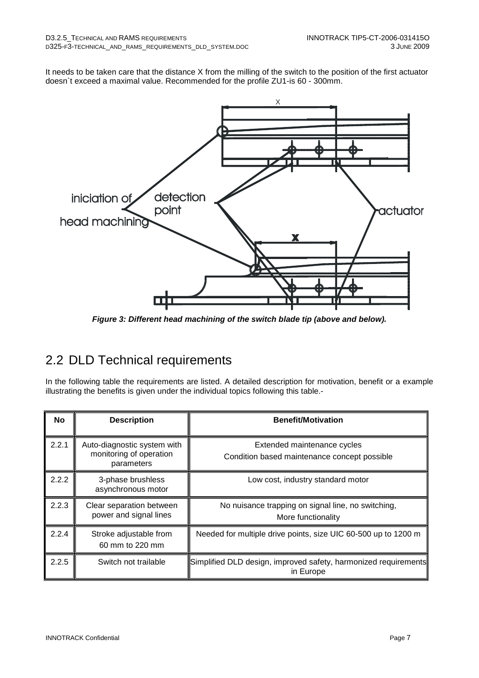It needs to be taken care that the distance X from the milling of the switch to the position of the first actuator doesn`t exceed a maximal value. Recommended for the profile ZU1-is 60 - 300mm.



**Figure 3: Different head machining of the switch blade tip (above and below).** 

## 2.2 DLD Technical requirements

In the following table the requirements are listed. A detailed description for motivation, benefit or a example illustrating the benefits is given under the individual topics following this table.-

| No    | <b>Description</b>                                                   | <b>Benefit/Motivation</b>                                                    |
|-------|----------------------------------------------------------------------|------------------------------------------------------------------------------|
| 2.2.1 | Auto-diagnostic system with<br>monitoring of operation<br>parameters | Extended maintenance cycles<br>Condition based maintenance concept possible  |
| 2.2.2 | 3-phase brushless<br>asynchronous motor                              | Low cost, industry standard motor                                            |
| 2.2.3 | Clear separation between<br>power and signal lines                   | No nuisance trapping on signal line, no switching,<br>More functionality     |
| 2.2.4 | Stroke adjustable from<br>60 mm to 220 mm                            | Needed for multiple drive points, size UIC 60-500 up to 1200 m               |
| 2.2.5 | Switch not trailable                                                 | Simplified DLD design, improved safety, harmonized requirements<br>in Europe |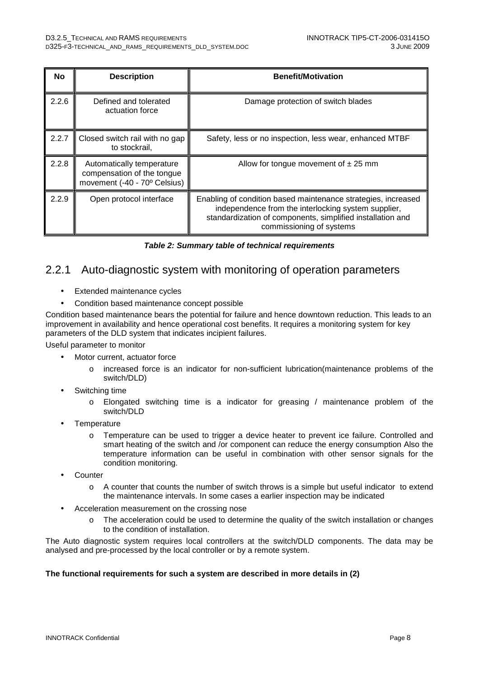| No    | <b>Description</b>                                                                      | <b>Benefit/Motivation</b>                                                                                                                                                                                      |  |
|-------|-----------------------------------------------------------------------------------------|----------------------------------------------------------------------------------------------------------------------------------------------------------------------------------------------------------------|--|
| 2.2.6 | Defined and tolerated<br>actuation force                                                | Damage protection of switch blades                                                                                                                                                                             |  |
| 2.2.7 | Closed switch rail with no gap<br>to stockrail,                                         | Safety, less or no inspection, less wear, enhanced MTBF                                                                                                                                                        |  |
| 2.2.8 | Automatically temperature<br>compensation of the tongue<br>movement (-40 - 70° Celsius) | Allow for tongue movement of $\pm 25$ mm                                                                                                                                                                       |  |
| 2.2.9 | Open protocol interface                                                                 | Enabling of condition based maintenance strategies, increased<br>independence from the interlocking system supplier,<br>standardization of components, simplified installation and<br>commissioning of systems |  |

|  | Table 2: Summary table of technical requirements |  |
|--|--------------------------------------------------|--|
|--|--------------------------------------------------|--|

#### 2.2.1 Auto-diagnostic system with monitoring of operation parameters

- Extended maintenance cycles
- Condition based maintenance concept possible

Condition based maintenance bears the potential for failure and hence downtown reduction. This leads to an improvement in availability and hence operational cost benefits. It requires a monitoring system for key parameters of the DLD system that indicates incipient failures.

Useful parameter to monitor

- Motor current, actuator force
	- o increased force is an indicator for non-sufficient lubrication(maintenance problems of the switch/DLD)
- Switching time
	- o Elongated switching time is a indicator for greasing / maintenance problem of the switch/DLD
- **Temperature** 
	- o Temperature can be used to trigger a device heater to prevent ice failure. Controlled and smart heating of the switch and /or component can reduce the energy consumption Also the temperature information can be useful in combination with other sensor signals for the condition monitoring.
- **Counter** 
	- o A counter that counts the number of switch throws is a simple but useful indicator to extend the maintenance intervals. In some cases a earlier inspection may be indicated
- Acceleration measurement on the crossing nose
	- $\circ$  The acceleration could be used to determine the quality of the switch installation or changes to the condition of installation.

The Auto diagnostic system requires local controllers at the switch/DLD components. The data may be analysed and pre-processed by the local controller or by a remote system.

#### **The functional requirements for such a system are described in more details in (2)**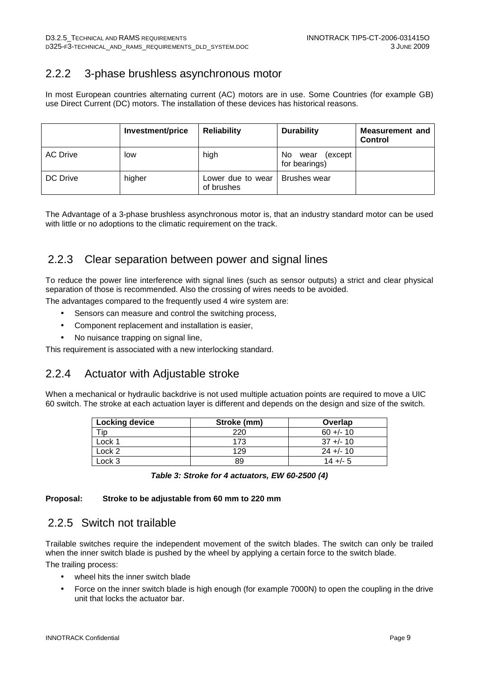### 2.2.2 3-phase brushless asynchronous motor

In most European countries alternating current (AC) motors are in use. Some Countries (for example GB) use Direct Current (DC) motors. The installation of these devices has historical reasons.

|                 | Investment/price | <b>Reliability</b>              | <b>Durability</b>                        | <b>Measurement and</b><br><b>Control</b> |
|-----------------|------------------|---------------------------------|------------------------------------------|------------------------------------------|
| <b>AC Drive</b> | low              | high                            | No.<br>(except)<br>wear<br>for bearings) |                                          |
| DC Drive        | higher           | Lower due to wear<br>of brushes | <b>Brushes wear</b>                      |                                          |

The Advantage of a 3-phase brushless asynchronous motor is, that an industry standard motor can be used with little or no adoptions to the climatic requirement on the track.

### 2.2.3 Clear separation between power and signal lines

To reduce the power line interference with signal lines (such as sensor outputs) a strict and clear physical separation of those is recommended. Also the crossing of wires needs to be avoided.

The advantages compared to the frequently used 4 wire system are:

- Sensors can measure and control the switching process,
- Component replacement and installation is easier,
- No nuisance trapping on signal line,

This requirement is associated with a new interlocking standard.

#### 2.2.4 Actuator with Adjustable stroke

When a mechanical or hydraulic backdrive is not used multiple actuation points are required to move a UIC 60 switch. The stroke at each actuation layer is different and depends on the design and size of the switch.

| <b>Locking device</b> | Stroke (mm) | Overlap      |
|-----------------------|-------------|--------------|
|                       | 220         | $60 +/- 10$  |
| Lock 1                | 173         | $37 + (-10)$ |
| Lock 2                | 129         | $24 + 10$    |
| Lock 3                | 89          | $14 + - 5$   |

|  | Table 3: Stroke for 4 actuators, EW 60-2500 (4) |  |
|--|-------------------------------------------------|--|
|--|-------------------------------------------------|--|

#### **Proposal: Stroke to be adjustable from 60 mm to 220 mm**

#### 2.2.5 Switch not trailable

Trailable switches require the independent movement of the switch blades. The switch can only be trailed when the inner switch blade is pushed by the wheel by applying a certain force to the switch blade. The trailing process:

- wheel hits the inner switch blade
- Force on the inner switch blade is high enough (for example 7000N) to open the coupling in the drive unit that locks the actuator bar.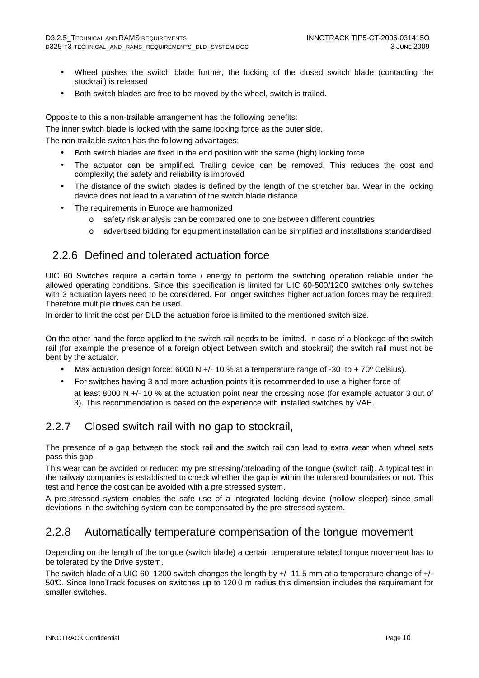- Wheel pushes the switch blade further, the locking of the closed switch blade (contacting the stockrail) is released
- Both switch blades are free to be moved by the wheel, switch is trailed.

Opposite to this a non-trailable arrangement has the following benefits:

The inner switch blade is locked with the same locking force as the outer side.

The non-trailable switch has the following advantages:

- Both switch blades are fixed in the end position with the same (high) locking force
- The actuator can be simplified. Trailing device can be removed. This reduces the cost and complexity; the safety and reliability is improved
- The distance of the switch blades is defined by the length of the stretcher bar. Wear in the locking device does not lead to a variation of the switch blade distance
- The requirements in Europe are harmonized
	- o safety risk analysis can be compared one to one between different countries
	- o advertised bidding for equipment installation can be simplified and installations standardised

#### 2.2.6 Defined and tolerated actuation force

UIC 60 Switches require a certain force / energy to perform the switching operation reliable under the allowed operating conditions. Since this specification is limited for UIC 60-500/1200 switches only switches with 3 actuation layers need to be considered. For longer switches higher actuation forces may be required. Therefore multiple drives can be used.

In order to limit the cost per DLD the actuation force is limited to the mentioned switch size.

On the other hand the force applied to the switch rail needs to be limited. In case of a blockage of the switch rail (for example the presence of a foreign object between switch and stockrail) the switch rail must not be bent by the actuator.

- Max actuation design force:  $6000 \text{ N} +/-10 \%$  at a temperature range of -30 to + 70<sup>o</sup> Celsius).
- For switches having 3 and more actuation points it is recommended to use a higher force of
	- at least 8000 N +/- 10 % at the actuation point near the crossing nose (for example actuator 3 out of 3). This recommendation is based on the experience with installed switches by VAE.

#### 2.2.7 Closed switch rail with no gap to stockrail,

The presence of a gap between the stock rail and the switch rail can lead to extra wear when wheel sets pass this gap.

This wear can be avoided or reduced my pre stressing/preloading of the tongue (switch rail). A typical test in the railway companies is established to check whether the gap is within the tolerated boundaries or not. This test and hence the cost can be avoided with a pre stressed system.

A pre-stressed system enables the safe use of a integrated locking device (hollow sleeper) since small deviations in the switching system can be compensated by the pre-stressed system.

#### 2.2.8 Automatically temperature compensation of the tongue movement

Depending on the length of the tongue (switch blade) a certain temperature related tongue movement has to be tolerated by the Drive system.

The switch blade of a UIC 60. 1200 switch changes the length by +/- 11,5 mm at a temperature change of +/- 50°C. Since InnoTrack focuses on switches up to 120 0 m radius this dimension includes the requirement for smaller switches.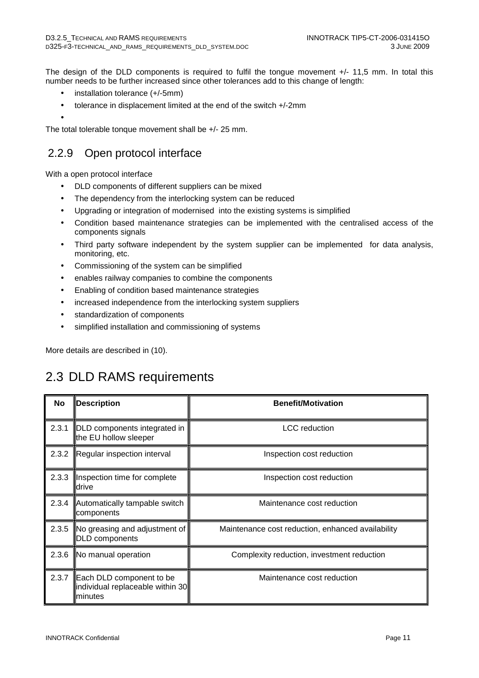The design of the DLD components is required to fulfil the tongue movement +/- 11,5 mm. In total this number needs to be further increased since other tolerances add to this change of length:

- installation tolerance (+/-5mm)
- tolerance in displacement limited at the end of the switch +/-2mm
- •

The total tolerable tonque movement shall be +/- 25 mm.

### 2.2.9 Open protocol interface

With a open protocol interface

- DLD components of different suppliers can be mixed
- The dependency from the interlocking system can be reduced
- Upgrading or integration of modernised into the existing systems is simplified
- Condition based maintenance strategies can be implemented with the centralised access of the components signals
- Third party software independent by the system supplier can be implemented for data analysis, monitoring, etc.
- Commissioning of the system can be simplified
- enables railway companies to combine the components
- Enabling of condition based maintenance strategies
- increased independence from the interlocking system suppliers
- standardization of components
- simplified installation and commissioning of systems

More details are described in (10).

## 2.3 DLD RAMS requirements

| No    | <b>Description</b>                                                       | <b>Benefit/Motivation</b>                         |  |
|-------|--------------------------------------------------------------------------|---------------------------------------------------|--|
| 2.3.1 | DLD components integrated in<br>the EU hollow sleeper                    | <b>LCC</b> reduction                              |  |
| 2.3.2 | Regular inspection interval                                              | Inspection cost reduction                         |  |
| 2.3.3 | Inspection time for complete<br>drive                                    | Inspection cost reduction                         |  |
| 2.3.4 | Automatically tampable switch<br>components                              | Maintenance cost reduction                        |  |
| 2.3.5 | No greasing and adjustment of<br>DLD components                          | Maintenance cost reduction, enhanced availability |  |
| 2.3.6 | No manual operation                                                      | Complexity reduction, investment reduction        |  |
| 2.3.7 | Each DLD component to be<br>individual replaceable within 30<br>Iminutes | Maintenance cost reduction                        |  |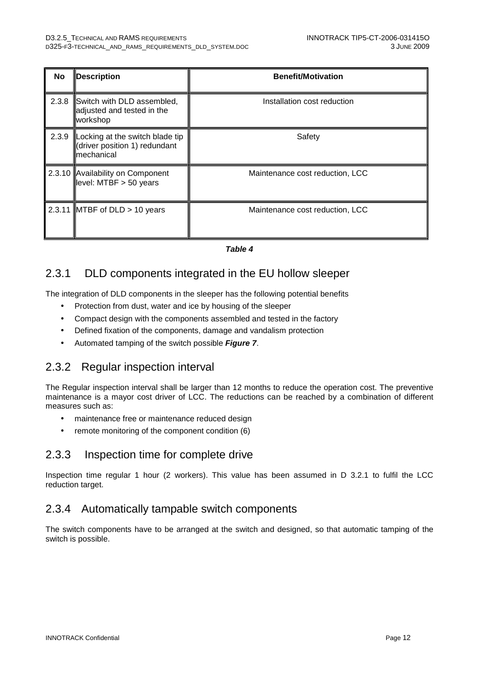| No    | <b>Description</b>                                                             | <b>Benefit/Motivation</b>       |
|-------|--------------------------------------------------------------------------------|---------------------------------|
| 2.3.8 | Switch with DLD assembled,<br>adjusted and tested in the<br>workshop           | Installation cost reduction     |
| 2.3.9 | Locking at the switch blade tip<br>(driver position 1) redundant<br>mechanical | Safety                          |
|       | 2.3.10 Availability on Component<br>level: MTBF > 50 years                     | Maintenance cost reduction, LCC |
|       | 2.3.11 MTBF of DLD $> 10$ years                                                | Maintenance cost reduction, LCC |

#### **Table 4**

#### 2.3.1 DLD components integrated in the EU hollow sleeper

The integration of DLD components in the sleeper has the following potential benefits

- Protection from dust, water and ice by housing of the sleeper
- Compact design with the components assembled and tested in the factory
- Defined fixation of the components, damage and vandalism protection
- Automated tamping of the switch possible **Figure 7**.

#### 2.3.2 Regular inspection interval

The Regular inspection interval shall be larger than 12 months to reduce the operation cost. The preventive maintenance is a mayor cost driver of LCC. The reductions can be reached by a combination of different measures such as:

- maintenance free or maintenance reduced design
- remote monitoring of the component condition (6)

#### 2.3.3 Inspection time for complete drive

Inspection time regular 1 hour (2 workers). This value has been assumed in D 3.2.1 to fulfil the LCC reduction target.

#### 2.3.4 Automatically tampable switch components

The switch components have to be arranged at the switch and designed, so that automatic tamping of the switch is possible.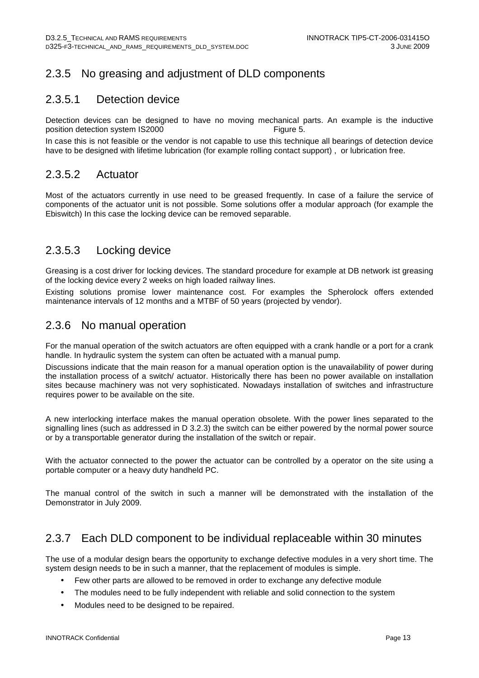### 2.3.5 No greasing and adjustment of DLD components

#### 2.3.5.1 Detection device

Detection devices can be designed to have no moving mechanical parts. An example is the inductive position detection system IS2000 Figure 5.

In case this is not feasible or the vendor is not capable to use this technique all bearings of detection device have to be designed with lifetime lubrication (for example rolling contact support) , or lubrication free.

#### 2.3.5.2 Actuator

Most of the actuators currently in use need to be greased frequently. In case of a failure the service of components of the actuator unit is not possible. Some solutions offer a modular approach (for example the Ebiswitch) In this case the locking device can be removed separable.

#### 2.3.5.3 Locking device

Greasing is a cost driver for locking devices. The standard procedure for example at DB network ist greasing of the locking device every 2 weeks on high loaded railway lines.

Existing solutions promise lower maintenance cost. For examples the Spherolock offers extended maintenance intervals of 12 months and a MTBF of 50 years (projected by vendor).

#### 2.3.6 No manual operation

For the manual operation of the switch actuators are often equipped with a crank handle or a port for a crank handle. In hydraulic system the system can often be actuated with a manual pump.

Discussions indicate that the main reason for a manual operation option is the unavailability of power during the installation process of a switch/ actuator. Historically there has been no power available on installation sites because machinery was not very sophisticated. Nowadays installation of switches and infrastructure requires power to be available on the site.

A new interlocking interface makes the manual operation obsolete. With the power lines separated to the signalling lines (such as addressed in D 3.2.3) the switch can be either powered by the normal power source or by a transportable generator during the installation of the switch or repair.

With the actuator connected to the power the actuator can be controlled by a operator on the site using a portable computer or a heavy duty handheld PC.

The manual control of the switch in such a manner will be demonstrated with the installation of the Demonstrator in July 2009.

#### 2.3.7 Each DLD component to be individual replaceable within 30 minutes

The use of a modular design bears the opportunity to exchange defective modules in a very short time. The system design needs to be in such a manner, that the replacement of modules is simple.

- Few other parts are allowed to be removed in order to exchange any defective module
- The modules need to be fully independent with reliable and solid connection to the system
- Modules need to be designed to be repaired.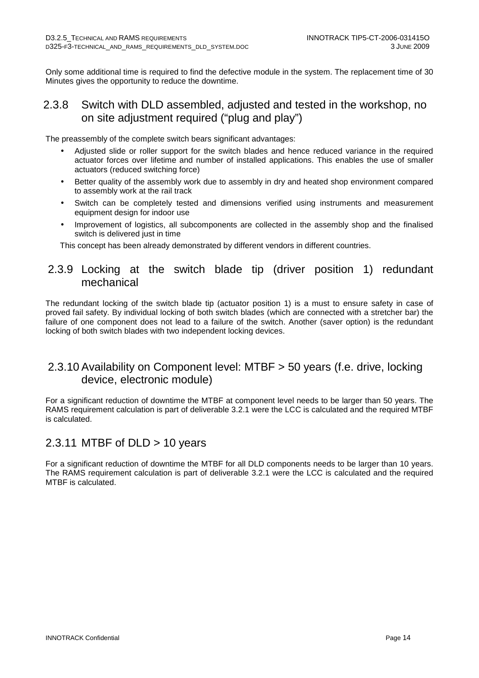Only some additional time is required to find the defective module in the system. The replacement time of 30 Minutes gives the opportunity to reduce the downtime.

#### 2.3.8 Switch with DLD assembled, adjusted and tested in the workshop, no on site adjustment required ("plug and play")

The preassembly of the complete switch bears significant advantages:

- Adjusted slide or roller support for the switch blades and hence reduced variance in the required actuator forces over lifetime and number of installed applications. This enables the use of smaller actuators (reduced switching force)
- Better quality of the assembly work due to assembly in dry and heated shop environment compared to assembly work at the rail track
- Switch can be completely tested and dimensions verified using instruments and measurement equipment design for indoor use
- Improvement of logistics, all subcomponents are collected in the assembly shop and the finalised switch is delivered just in time

This concept has been already demonstrated by different vendors in different countries.

#### 2.3.9 Locking at the switch blade tip (driver position 1) redundant mechanical

The redundant locking of the switch blade tip (actuator position 1) is a must to ensure safety in case of proved fail safety. By individual locking of both switch blades (which are connected with a stretcher bar) the failure of one component does not lead to a failure of the switch. Another (saver option) is the redundant locking of both switch blades with two independent locking devices.

#### 2.3.10 Availability on Component level: MTBF > 50 years (f.e. drive, locking device, electronic module)

For a significant reduction of downtime the MTBF at component level needs to be larger than 50 years. The RAMS requirement calculation is part of deliverable 3.2.1 were the LCC is calculated and the required MTBF is calculated.

#### 2.3.11 MTBF of DLD > 10 years

For a significant reduction of downtime the MTBF for all DLD components needs to be larger than 10 years. The RAMS requirement calculation is part of deliverable 3.2.1 were the LCC is calculated and the required MTBF is calculated.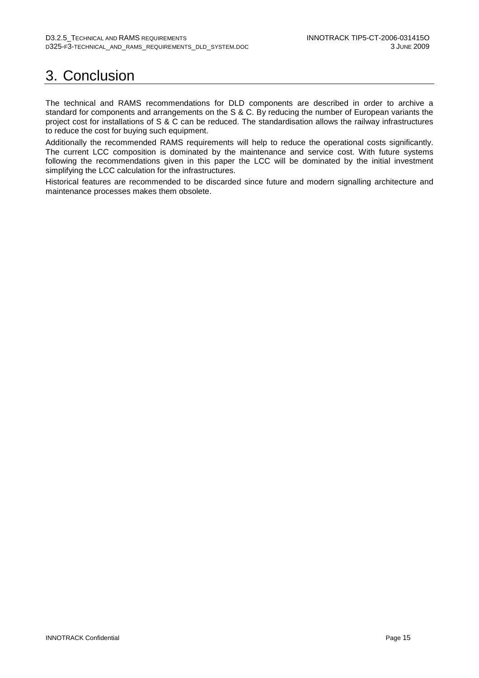# 3. Conclusion

The technical and RAMS recommendations for DLD components are described in order to archive a standard for components and arrangements on the S & C. By reducing the number of European variants the project cost for installations of S & C can be reduced. The standardisation allows the railway infrastructures to reduce the cost for buying such equipment.

Additionally the recommended RAMS requirements will help to reduce the operational costs significantly. The current LCC composition is dominated by the maintenance and service cost. With future systems following the recommendations given in this paper the LCC will be dominated by the initial investment simplifying the LCC calculation for the infrastructures.

Historical features are recommended to be discarded since future and modern signalling architecture and maintenance processes makes them obsolete.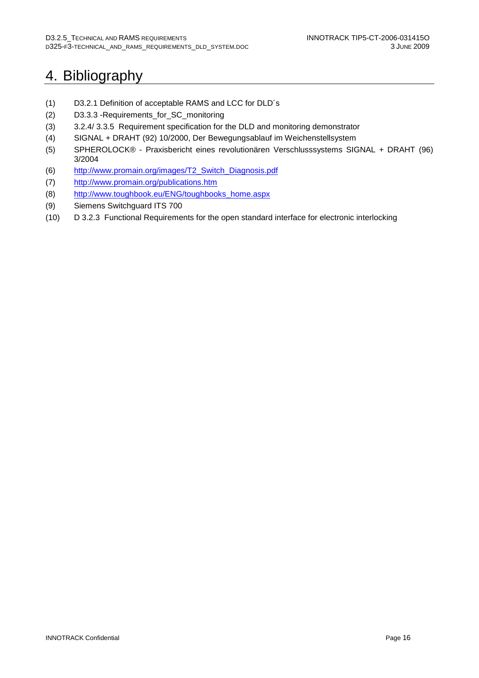# 4. Bibliography

- (1) D3.2.1 Definition of acceptable RAMS and LCC for DLD´s
- (2) D3.3.3 -Requirements\_for\_SC\_monitoring
- (3) 3.2.4/ 3.3.5 Requirement specification for the DLD and monitoring demonstrator
- (4) SIGNAL + DRAHT (92) 10/2000, Der Bewegungsablauf im Weichenstellsystem
- (5) SPHEROLOCK® Praxisbericht eines revolutionären Verschlusssystems SIGNAL + DRAHT (96) 3/2004
- (6) http://www.promain.org/images/T2\_Switch\_Diagnosis.pdf
- (7) http://www.promain.org/publications.htm
- (8) http://www.toughbook.eu/ENG/toughbooks\_home.aspx
- (9) Siemens Switchguard ITS 700
- (10) D 3.2.3 Functional Requirements for the open standard interface for electronic interlocking